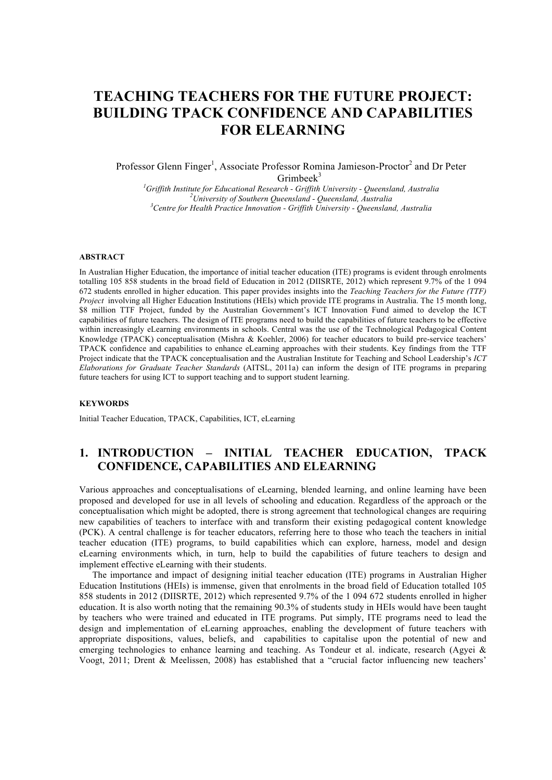# **TEACHING TEACHERS FOR THE FUTURE PROJECT: BUILDING TPACK CONFIDENCE AND CAPABILITIES FOR ELEARNING**

Professor Glenn Finger<sup>1</sup>, Associate Professor Romina Jamieson-Proctor<sup>2</sup> and Dr Peter Grimbeek $3$ 

*1 Griffith Institute for Educational Research - Griffith University - Queensland, Australia <sup>2</sup> University of Southern Queensland - Queensland, Australia <sup>3</sup> Centre for Health Practice Innovation - Griffith University - Queensland, Australia*

#### **ABSTRACT**

In Australian Higher Education, the importance of initial teacher education (ITE) programs is evident through enrolments totalling 105 858 students in the broad field of Education in 2012 (DIISRTE, 2012) which represent 9.7% of the 1 094 672 students enrolled in higher education. This paper provides insights into the *Teaching Teachers for the Future (TTF) Project* involving all Higher Education Institutions (HEIs) which provide ITE programs in Australia. The 15 month long, \$8 million TTF Project, funded by the Australian Government's ICT Innovation Fund aimed to develop the ICT capabilities of future teachers. The design of ITE programs need to build the capabilities of future teachers to be effective within increasingly eLearning environments in schools. Central was the use of the Technological Pedagogical Content Knowledge (TPACK) conceptualisation (Mishra & Koehler, 2006) for teacher educators to build pre-service teachers' TPACK confidence and capabilities to enhance eLearning approaches with their students. Key findings from the TTF Project indicate that the TPACK conceptualisation and the Australian Institute for Teaching and School Leadership's *ICT Elaborations for Graduate Teacher Standards* (AITSL, 2011a) can inform the design of ITE programs in preparing future teachers for using ICT to support teaching and to support student learning.

#### **KEYWORDS**

Initial Teacher Education, TPACK, Capabilities, ICT, eLearning

# **1. INTRODUCTION – INITIAL TEACHER EDUCATION, TPACK CONFIDENCE, CAPABILITIES AND ELEARNING**

Various approaches and conceptualisations of eLearning, blended learning, and online learning have been proposed and developed for use in all levels of schooling and education. Regardless of the approach or the conceptualisation which might be adopted, there is strong agreement that technological changes are requiring new capabilities of teachers to interface with and transform their existing pedagogical content knowledge (PCK). A central challenge is for teacher educators, referring here to those who teach the teachers in initial teacher education (ITE) programs, to build capabilities which can explore, harness, model and design eLearning environments which, in turn, help to build the capabilities of future teachers to design and implement effective eLearning with their students.

The importance and impact of designing initial teacher education (ITE) programs in Australian Higher Education Institutions (HEIs) is immense, given that enrolments in the broad field of Education totalled 105 858 students in 2012 (DIISRTE, 2012) which represented 9.7% of the 1 094 672 students enrolled in higher education. It is also worth noting that the remaining 90.3% of students study in HEIs would have been taught by teachers who were trained and educated in ITE programs. Put simply, ITE programs need to lead the design and implementation of eLearning approaches, enabling the development of future teachers with appropriate dispositions, values, beliefs, and capabilities to capitalise upon the potential of new and emerging technologies to enhance learning and teaching. As Tondeur et al. indicate, research (Agyei & Voogt, 2011; Drent & Meelissen, 2008) has established that a "crucial factor influencing new teachers'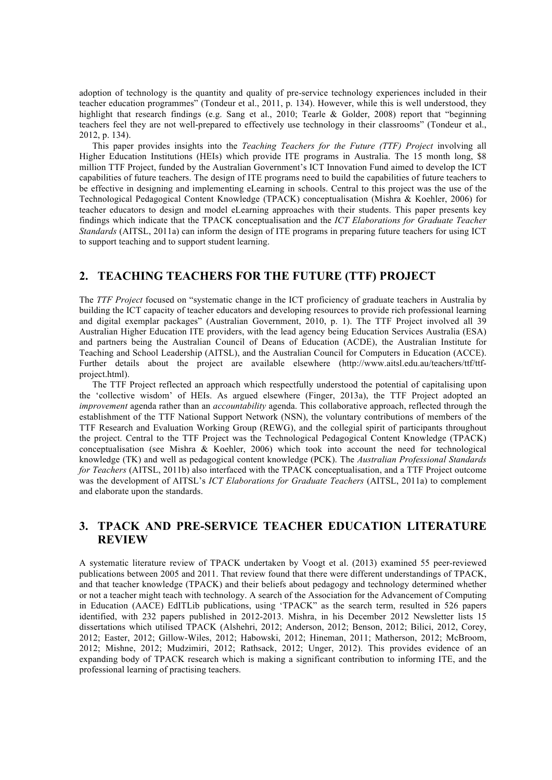adoption of technology is the quantity and quality of pre-service technology experiences included in their teacher education programmes" (Tondeur et al., 2011, p. 134). However, while this is well understood, they highlight that research findings (e.g. Sang et al., 2010; Tearle & Golder, 2008) report that "beginning teachers feel they are not well-prepared to effectively use technology in their classrooms" (Tondeur et al., 2012, p. 134).

This paper provides insights into the *Teaching Teachers for the Future (TTF) Project* involving all Higher Education Institutions (HEIs) which provide ITE programs in Australia. The 15 month long, \$8 million TTF Project, funded by the Australian Government's ICT Innovation Fund aimed to develop the ICT capabilities of future teachers. The design of ITE programs need to build the capabilities of future teachers to be effective in designing and implementing eLearning in schools. Central to this project was the use of the Technological Pedagogical Content Knowledge (TPACK) conceptualisation (Mishra & Koehler, 2006) for teacher educators to design and model eLearning approaches with their students. This paper presents key findings which indicate that the TPACK conceptualisation and the *ICT Elaborations for Graduate Teacher Standards* (AITSL, 2011a) can inform the design of ITE programs in preparing future teachers for using ICT to support teaching and to support student learning.

### **2. TEACHING TEACHERS FOR THE FUTURE (TTF) PROJECT**

The *TTF Project* focused on "systematic change in the ICT proficiency of graduate teachers in Australia by building the ICT capacity of teacher educators and developing resources to provide rich professional learning and digital exemplar packages" (Australian Government, 2010, p. 1). The TTF Project involved all 39 Australian Higher Education ITE providers, with the lead agency being Education Services Australia (ESA) and partners being the Australian Council of Deans of Education (ACDE), the Australian Institute for Teaching and School Leadership (AITSL), and the Australian Council for Computers in Education (ACCE). Further details about the project are available elsewhere (http://www.aitsl.edu.au/teachers/ttf/ttfproject.html).

The TTF Project reflected an approach which respectfully understood the potential of capitalising upon the 'collective wisdom' of HEIs. As argued elsewhere (Finger, 2013a), the TTF Project adopted an *improvement* agenda rather than an *accountability* agenda. This collaborative approach, reflected through the establishment of the TTF National Support Network (NSN), the voluntary contributions of members of the TTF Research and Evaluation Working Group (REWG), and the collegial spirit of participants throughout the project. Central to the TTF Project was the Technological Pedagogical Content Knowledge (TPACK) conceptualisation (see Mishra & Koehler, 2006) which took into account the need for technological knowledge (TK) and well as pedagogical content knowledge (PCK). The *Australian Professional Standards for Teachers* (AITSL, 2011b) also interfaced with the TPACK conceptualisation, and a TTF Project outcome was the development of AITSL's *ICT Elaborations for Graduate Teachers* (AITSL, 2011a) to complement and elaborate upon the standards.

# **3. TPACK AND PRE-SERVICE TEACHER EDUCATION LITERATURE REVIEW**

A systematic literature review of TPACK undertaken by Voogt et al. (2013) examined 55 peer-reviewed publications between 2005 and 2011. That review found that there were different understandings of TPACK, and that teacher knowledge (TPACK) and their beliefs about pedagogy and technology determined whether or not a teacher might teach with technology. A search of the Association for the Advancement of Computing in Education (AACE) EdITLib publications, using 'TPACK" as the search term, resulted in 526 papers identified, with 232 papers published in 2012-2013. Mishra, in his December 2012 Newsletter lists 15 dissertations which utilised TPACK (Alshehri, 2012; Anderson, 2012; Benson, 2012; Bilici, 2012, Corey, 2012; Easter, 2012; Gillow-Wiles, 2012; Habowski, 2012; Hineman, 2011; Matherson, 2012; McBroom, 2012; Mishne, 2012; Mudzimiri, 2012; Rathsack, 2012; Unger, 2012). This provides evidence of an expanding body of TPACK research which is making a significant contribution to informing ITE, and the professional learning of practising teachers.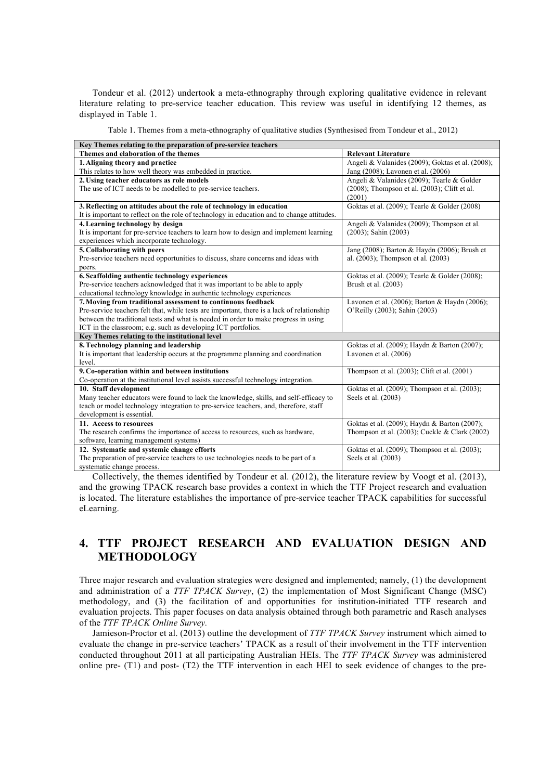Tondeur et al. (2012) undertook a meta-ethnography through exploring qualitative evidence in relevant literature relating to pre-service teacher education. This review was useful in identifying 12 themes, as displayed in Table 1.

Table 1. Themes from a meta-ethnography of qualitative studies (Synthesised from Tondeur et al., 2012)

| Key Themes relating to the preparation of pre-service teachers                             |                                                     |  |  |
|--------------------------------------------------------------------------------------------|-----------------------------------------------------|--|--|
| Themes and elaboration of the themes                                                       | <b>Relevant Literature</b>                          |  |  |
| 1. Aligning theory and practice                                                            | Angeli & Valanides (2009); Goktas et al. (2008);    |  |  |
| This relates to how well theory was embedded in practice.                                  | Jang (2008); Lavonen et al. (2006)                  |  |  |
| 2. Using teacher educators as role models                                                  | Angeli & Valanides (2009); Tearle & Golder          |  |  |
| The use of ICT needs to be modelled to pre-service teachers.                               | $(2008)$ ; Thompson et al. $(2003)$ ; Clift et al.  |  |  |
|                                                                                            | (2001)                                              |  |  |
| 3. Reflecting on attitudes about the role of technology in education                       | Goktas et al. (2009); Tearle & Golder (2008)        |  |  |
| It is important to reflect on the role of technology in education and to change attitudes. |                                                     |  |  |
| 4. Learning technology by design                                                           | Angeli & Valanides (2009); Thompson et al.          |  |  |
| It is important for pre-service teachers to learn how to design and implement learning     | $(2003)$ ; Sahin $(2003)$                           |  |  |
| experiences which incorporate technology.                                                  |                                                     |  |  |
| 5. Collaborating with peers                                                                | Jang (2008); Barton & Haydn (2006); Brush et        |  |  |
| Pre-service teachers need opportunities to discuss, share concerns and ideas with          | al. (2003); Thompson et al. (2003)                  |  |  |
| peers.                                                                                     |                                                     |  |  |
| 6. Scaffolding authentic technology experiences                                            | Goktas et al. (2009); Tearle & Golder (2008);       |  |  |
| Pre-service teachers acknowledged that it was important to be able to apply                | Brush et al. (2003)                                 |  |  |
| educational technology knowledge in authentic technology experiences                       |                                                     |  |  |
| 7. Moving from traditional assessment to continuous feedback                               | Lavonen et al. $(2006)$ ; Barton & Haydn $(2006)$ ; |  |  |
| Pre-service teachers felt that, while tests are important, there is a lack of relationship | O'Reilly (2003); Sahin (2003)                       |  |  |
| between the traditional tests and what is needed in order to make progress in using        |                                                     |  |  |
| ICT in the classroom; e.g. such as developing ICT portfolios.                              |                                                     |  |  |
| Key Themes relating to the institutional level                                             |                                                     |  |  |
| 8. Technology planning and leadership                                                      | Goktas et al. (2009); Haydn & Barton (2007);        |  |  |
| It is important that leadership occurs at the programme planning and coordination          | Lavonen et al. (2006)                               |  |  |
| level.                                                                                     |                                                     |  |  |
| 9. Co-operation within and between institutions                                            | Thompson et al. (2003); Clift et al. (2001)         |  |  |
| Co-operation at the institutional level assists successful technology integration.         |                                                     |  |  |
| 10. Staff development                                                                      | Goktas et al. (2009); Thompson et al. (2003);       |  |  |
| Many teacher educators were found to lack the knowledge, skills, and self-efficacy to      | Seels et al. (2003)                                 |  |  |
| teach or model technology integration to pre-service teachers, and, therefore, staff       |                                                     |  |  |
| development is essential.                                                                  |                                                     |  |  |
| 11. Access to resources                                                                    | Goktas et al. (2009); Haydn & Barton (2007);        |  |  |
| The research confirms the importance of access to resources, such as hardware,             | Thompson et al. $(2003)$ ; Cuckle & Clark $(2002)$  |  |  |
| software, learning management systems)                                                     |                                                     |  |  |
| 12. Systematic and systemic change efforts                                                 | Goktas et al. (2009); Thompson et al. (2003);       |  |  |
| The preparation of pre-service teachers to use technologies needs to be part of a          | Seels et al. (2003)                                 |  |  |
| systematic change process.                                                                 |                                                     |  |  |

Collectively, the themes identified by Tondeur et al. (2012), the literature review by Voogt et al. (2013), and the growing TPACK research base provides a context in which the TTF Project research and evaluation is located. The literature establishes the importance of pre-service teacher TPACK capabilities for successful eLearning.

# **4. TTF PROJECT RESEARCH AND EVALUATION DESIGN AND METHODOLOGY**

Three major research and evaluation strategies were designed and implemented; namely, (1) the development and administration of a *TTF TPACK Survey*, (2) the implementation of Most Significant Change (MSC) methodology, and (3) the facilitation of and opportunities for institution-initiated TTF research and evaluation projects. This paper focuses on data analysis obtained through both parametric and Rasch analyses of the *TTF TPACK Online Survey.*

Jamieson-Proctor et al. (2013) outline the development of *TTF TPACK Survey* instrument which aimed to evaluate the change in pre-service teachers' TPACK as a result of their involvement in the TTF intervention conducted throughout 2011 at all participating Australian HEIs. The *TTF TPACK Survey* was administered online pre- (T1) and post- (T2) the TTF intervention in each HEI to seek evidence of changes to the pre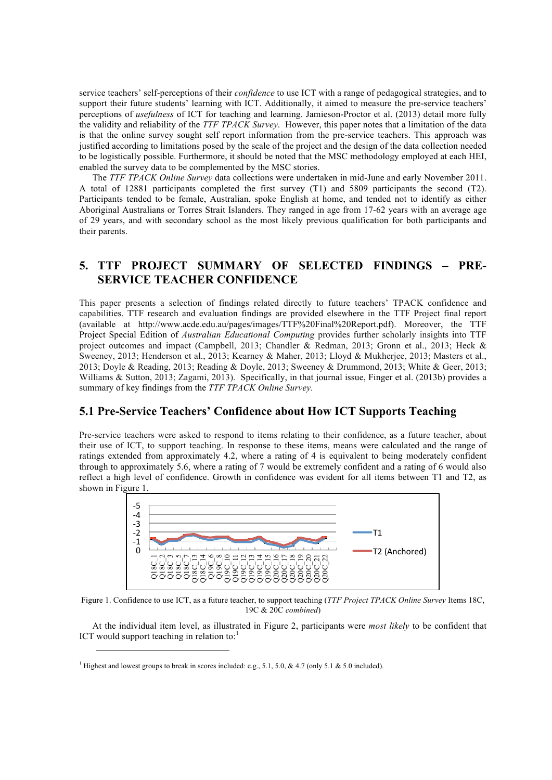service teachers' self-perceptions of their *confidence* to use ICT with a range of pedagogical strategies, and to support their future students' learning with ICT. Additionally, it aimed to measure the pre-service teachers' perceptions of *usefulness* of ICT for teaching and learning. Jamieson-Proctor et al. (2013) detail more fully the validity and reliability of the *TTF TPACK Survey*. However, this paper notes that a limitation of the data is that the online survey sought self report information from the pre-service teachers. This approach was justified according to limitations posed by the scale of the project and the design of the data collection needed to be logistically possible. Furthermore, it should be noted that the MSC methodology employed at each HEI, enabled the survey data to be complemented by the MSC stories.

The *TTF TPACK Online Survey* data collections were undertaken in mid-June and early November 2011. A total of 12881 participants completed the first survey (T1) and 5809 participants the second (T2). Participants tended to be female, Australian, spoke English at home, and tended not to identify as either Aboriginal Australians or Torres Strait Islanders. They ranged in age from 17-62 years with an average age of 29 years, and with secondary school as the most likely previous qualification for both participants and their parents.

# **5. TTF PROJECT SUMMARY OF SELECTED FINDINGS – PRE-SERVICE TEACHER CONFIDENCE**

This paper presents a selection of findings related directly to future teachers' TPACK confidence and capabilities. TTF research and evaluation findings are provided elsewhere in the TTF Project final report (available at http://www.acde.edu.au/pages/images/TTF%20Final%20Report.pdf). Moreover, the TTF Project Special Edition of *Australian Educational Computing* provides further scholarly insights into TTF project outcomes and impact (Campbell, 2013; Chandler & Redman, 2013; Gronn et al., 2013; Heck & Sweeney, 2013; Henderson et al., 2013; Kearney & Maher, 2013; Lloyd & Mukherjee, 2013; Masters et al., 2013; Doyle & Reading, 2013; Reading & Doyle, 2013; Sweeney & Drummond, 2013; White & Geer, 2013; Williams & Sutton, 2013; Zagami, 2013). Specifically, in that journal issue, Finger et al. (2013b) provides a summary of key findings from the *TTF TPACK Online Survey*.

### **5.1 Pre-Service Teachers' Confidence about How ICT Supports Teaching**

Pre-service teachers were asked to respond to items relating to their confidence, as a future teacher, about their use of ICT, to support teaching. In response to these items, means were calculated and the range of ratings extended from approximately 4.2, where a rating of 4 is equivalent to being moderately confident through to approximately 5.6, where a rating of 7 would be extremely confident and a rating of 6 would also reflect a high level of confidence. Growth in confidence was evident for all items between T1 and T2, as shown in Figure 1.



Figure 1. Confidence to use ICT, as a future teacher, to support teaching (*TTF Project TPACK Online Survey* Items 18C, 19C & 20C *combined*)

At the individual item level, as illustrated in Figure 2, participants were *most likely* to be confident that ICT would support teaching in relation to: $<sup>1</sup>$ </sup>

<u> 1989 - Johann Stein, marwolaethau a bh</u>

<sup>&</sup>lt;sup>1</sup> Highest and lowest groups to break in scores included: e.g., 5.1, 5.0, & 4.7 (only 5.1 & 5.0 included).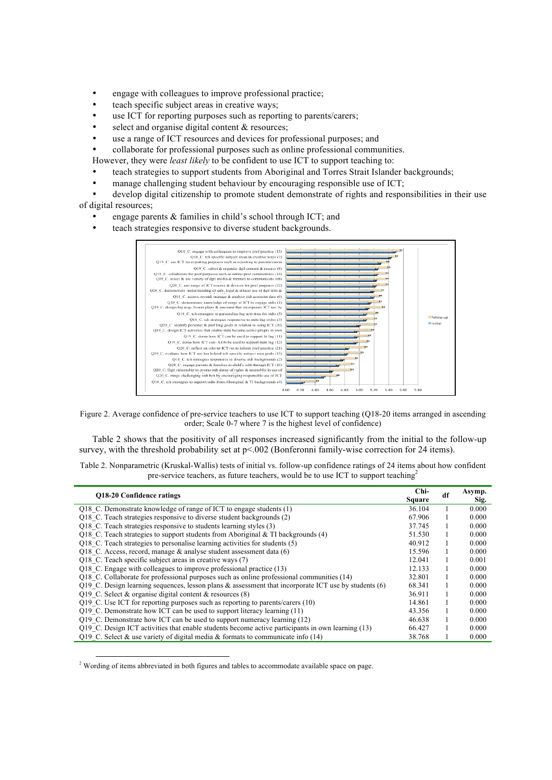- engage with colleagues to improve professional practice;
- teach specific subject areas in creative ways;
- use ICT for reporting purposes such as reporting to parents/carers;
- select and organise digital content  $&$  resources;
- use a range of ICT resources and devices for professional purposes; and
- collaborate for professional purposes such as online professional communities.

However, they were *least likely* to be confident to use ICT to support teaching to:

- teach strategies to support students from Aboriginal and Torres Strait Islander backgrounds;
- manage challenging student behaviour by encouraging responsible use of ICT;
- develop digital citizenship to promote student demonstrate of rights and responsibilities in their use of digital resources;
	- engage parents & families in child's school through ICT; and

teach strategies responsive to diverse student backgrounds.



Figure 2. Average confidence of pre-service teachers to use ICT to support teaching (Q18-20 items arranged in ascending order; Scale 0-7 where 7 is the highest level of confidence)

Table 2 shows that the positivity of all responses increased significantly from the initial to the follow-up survey, with the threshold probability set at  $p<0.002$  (Bonferonni family-wise correction for 24 items).

Table 2. Nonparametric (Kruskal-Wallis) tests of initial vs. follow-up confidence ratings of 24 items about how confident pre-service teachers, as future teachers, would be to use ICT to support teaching<sup>2</sup>

| <b>O18-20 Confidence ratings</b>                                                                     | Chi-<br><b>Square</b> | df | Asymp.<br>Sig. |
|------------------------------------------------------------------------------------------------------|-----------------------|----|----------------|
| Q18 C. Demonstrate knowledge of range of ICT to engage students $(1)$                                | 36.104                |    | 0.000          |
| Q18 C. Teach strategies responsive to diverse student backgrounds (2)                                | 67.906                |    | 0.000          |
| Q18 C. Teach strategies responsive to students learning styles (3)                                   | 37.745                |    | 0.000          |
| Q18 C. Teach strategies to support students from Aboriginal & TI backgrounds $(4)$                   | 51.530                |    | 0.000          |
| Q18 C. Teach strategies to personalise learning activities for students (5)                          | 40.912                |    | 0.000          |
| Q18 C. Access, record, manage $\&$ analyse student assessment data (6)                               | 15.596                |    | 0.000          |
| Q18 C. Teach specific subject areas in creative ways (7)                                             | 12.041                |    | 0.001          |
| Q18 C. Engage with colleagues to improve professional practice (13)                                  | 12.133                |    | 0.000          |
| Q18 C. Collaborate for professional purposes such as online professional communities (14)            | 32.801                |    | 0.000          |
| Q19 C. Design learning sequences, lesson plans & assessment that incorporate ICT use by students (6) | 68.341                |    | 0.000          |
| Q19 C. Select & organise digital content & resources $(8)$                                           | 36.911                |    | 0.000          |
| Q19 C. Use ICT for reporting purposes such as reporting to parents/carers (10)                       | 14.861                |    | 0.000          |
| Q19 C. Demonstrate how ICT can be used to support literacy learning (11)                             | 43.356                |    | 0.000          |
| O19 C. Demonstrate how ICT can be used to support numeracy learning (12)                             | 46.638                |    | 0.000          |
| O19 C. Design ICT activities that enable students become active participants in own learning (13)    | 66.427                |    | 0.000          |
| O19 C. Select & use variety of digital media & formats to communicate info $(14)$                    | 38.768                |    | 0.000          |

<sup>&</sup>lt;sup>2</sup> Wording of items abbreviated in both figures and tables to accommodate available space on page.

<u> 1989 - Johann Stein, marwolaethau a bh</u>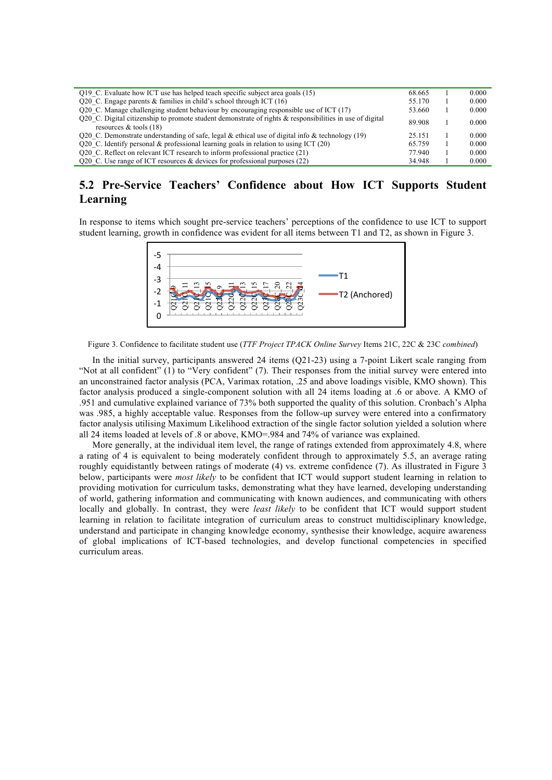| Q19 C. Evaluate how ICT use has helped teach specific subject area goals (15)                                                        | 68.665 | 0.000 |
|--------------------------------------------------------------------------------------------------------------------------------------|--------|-------|
| Q20 C. Engage parents $\&$ families in child's school through ICT (16)                                                               | 55.170 | 0.000 |
| Q20 C. Manage challenging student behaviour by encouraging responsible use of ICT (17)                                               | 53.660 | 0.000 |
| O20 C. Digital citizenship to promote student demonstrate of rights & responsibilities in use of digital<br>resources $&$ tools (18) | 89.908 | 0.000 |
| Q20 C. Demonstrate understanding of safe, legal & ethical use of digital info & technology (19)                                      | 25.151 | 0.000 |
| Q20 C. Identify personal & professional learning goals in relation to using ICT $(20)$                                               | 65.759 | 0.000 |
| Q20 C. Reflect on relevant ICT research to inform professional practice (21)                                                         | 77.940 | 0.000 |
| Q20 C. Use range of ICT resources & devices for professional purposes $(22)$                                                         | 34.948 | 0.000 |

# **5.2 Pre-Service Teachers' Confidence about How ICT Supports Student Learning**

In response to items which sought pre-service teachers' perceptions of the confidence to use ICT to support student learning, growth in confidence was evident for all items between T1 and T2, as shown in Figure 3.



Figure 3. Confidence to facilitate student use (*TTF Project TPACK Online Survey* Items 21C, 22C & 23C *combined*)

In the initial survey, participants answered 24 items (Q21-23) using a 7-point Likert scale ranging from "Not at all confident" (1) to "Very confident" (7). Their responses from the initial survey were entered into an unconstrained factor analysis (PCA, Varimax rotation, .25 and above loadings visible, KMO shown). This factor analysis produced a single-component solution with all 24 items loading at .6 or above. A KMO of .951 and cumulative explained variance of 73% both supported the quality of this solution. Cronbach's Alpha was .985, a highly acceptable value. Responses from the follow-up survey were entered into a confirmatory factor analysis utilising Maximum Likelihood extraction of the single factor solution yielded a solution where all 24 items loaded at levels of .8 or above, KMO=.984 and 74% of variance was explained.

More generally, at the individual item level, the range of ratings extended from approximately 4.8, where a rating of 4 is equivalent to being moderately confident through to approximately 5.5, an average rating roughly equidistantly between ratings of moderate (4) vs. extreme confidence (7). As illustrated in Figure 3 below, participants were *most likely* to be confident that ICT would support student learning in relation to providing motivation for curriculum tasks, demonstrating what they have learned, developing understanding of world, gathering information and communicating with known audiences, and communicating with others locally and globally. In contrast, they were *least likely* to be confident that ICT would support student learning in relation to facilitate integration of curriculum areas to construct multidisciplinary knowledge, understand and participate in changing knowledge economy, synthesise their knowledge, acquire awareness of global implications of ICT-based technologies, and develop functional competencies in specified curriculum areas.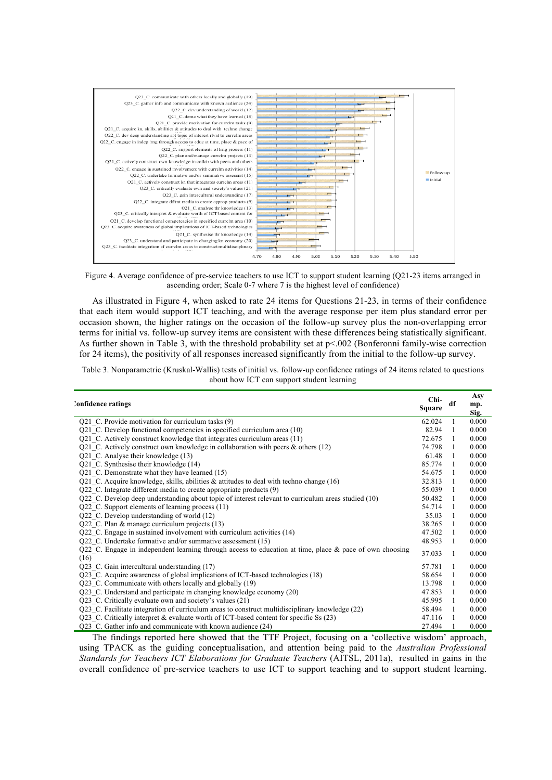

Figure 4. Average confidence of pre-service teachers to use ICT to support student learning (Q21-23 items arranged in ascending order; Scale 0-7 where 7 is the highest level of confidence)

As illustrated in Figure 4, when asked to rate 24 items for Questions 21-23, in terms of their confidence that each item would support ICT teaching, and with the average response per item plus standard error per occasion shown, the higher ratings on the occasion of the follow-up survey plus the non-overlapping error terms for initial vs. follow-up survey items are consistent with these differences being statistically significant. As further shown in Table 3, with the threshold probability set at  $p<0.02$  (Bonferonni family-wise correction for 24 items), the positivity of all responses increased significantly from the initial to the follow-up survey.

Table 3. Nonparametric (Kruskal-Wallis) tests of initial vs. follow-up confidence ratings of 24 items related to questions about how ICT can support student learning

| Confidence ratings                                                                                                 | Chi-<br><b>Square</b> | df             | Asy<br>mp.<br>Sig. |
|--------------------------------------------------------------------------------------------------------------------|-----------------------|----------------|--------------------|
| Q21 C. Provide motivation for curriculum tasks (9)                                                                 | 62.024                |                | 0.000              |
| Q21 C. Develop functional competencies in specified curriculum area (10)                                           | 82.94                 |                | 0.000              |
| Q21 C. Actively construct knowledge that integrates curriculum areas (11)                                          | 72.675                | $\overline{1}$ | 0.000              |
| Q21 C. Actively construct own knowledge in collaboration with peers $\&$ others (12)                               | 74.798                | $\overline{1}$ | 0.000              |
| Q21 C. Analyse their knowledge (13)                                                                                | 61.48                 | $\overline{1}$ | 0.000              |
| Q21 C. Synthesise their knowledge (14)                                                                             | 85.774                | -1             | 0.000              |
| Q21 C. Demonstrate what they have learned (15)                                                                     | 54.675                | $\overline{1}$ | 0.000              |
| Q21 C. Acquire knowledge, skills, abilities $\&$ attitudes to deal with techno change (16)                         | 32.813                | $\overline{1}$ | 0.000              |
| Q22 C. Integrate different media to create appropriate products (9)                                                | 55.039                | -1             | 0.000              |
| Q22 C. Develop deep understanding about topic of interest relevant to curriculum areas studied (10)                | 50.482                | $\overline{1}$ | 0.000              |
| Q22 C. Support elements of learning process (11)                                                                   | 54.714                | $\overline{1}$ | 0.000              |
| Q22 C. Develop understanding of world (12)                                                                         | 35.03                 | $\overline{1}$ | 0.000              |
| Q22 C. Plan & manage curriculum projects (13)                                                                      | 38.265                | $\overline{1}$ | 0.000              |
| Q22 C. Engage in sustained involvement with curriculum activities (14)                                             | 47.502                | $\overline{1}$ | 0.000              |
| Q22 C. Undertake formative and/or summative assessment (15)                                                        | 48.953                | $\overline{1}$ | 0.000              |
| Q22 C. Engage in independent learning through access to education at time, place $\&$ pace of own choosing<br>(16) | 37.033                | -1             | 0.000              |
| Q23 C. Gain intercultural understanding (17)                                                                       | 57.781                | $\overline{1}$ | 0.000              |
| Q23 C. Acquire awareness of global implications of ICT-based technologies (18)                                     | 58.654                | -1             | 0.000              |
| Q23 C. Communicate with others locally and globally (19)                                                           | 13.798                | $\overline{1}$ | 0.000              |
| Q23 C. Understand and participate in changing knowledge economy (20)                                               | 47.853                | $\overline{1}$ | 0.000              |
| Q23 C. Critically evaluate own and society's values (21)                                                           | 45.995                | $\overline{1}$ | 0.000              |
| Q23 C. Facilitate integration of curriculum areas to construct multidisciplinary knowledge (22)                    | 58.494                | -1             | 0.000              |
| Q23 C. Critically interpret & evaluate worth of ICT-based content for specific Ss (23)                             | 47.116                |                | 0.000              |
| Q23 C. Gather info and communicate with known audience (24)                                                        | 27.494                |                | 0.000              |

The findings reported here showed that the TTF Project, focusing on a 'collective wisdom' approach, using TPACK as the guiding conceptualisation, and attention being paid to the *Australian Professional Standards for Teachers ICT Elaborations for Graduate Teachers* (AITSL, 2011a), resulted in gains in the overall confidence of pre-service teachers to use ICT to support teaching and to support student learning.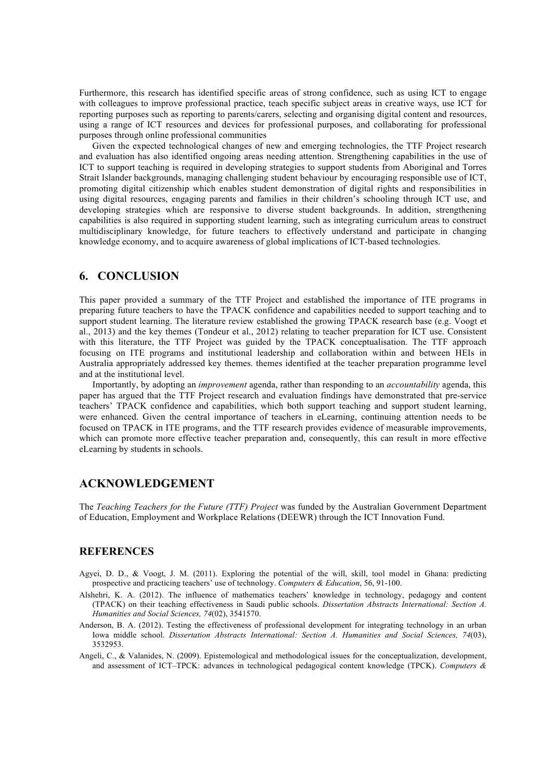Furthermore, this research has identified specific areas of strong confidence, such as using ICT to engage with colleagues to improve professional practice, teach specific subject areas in creative ways, use ICT for reporting purposes such as reporting to parents/carers, selecting and organising digital content and resources, using a range of ICT resources and devices for professional purposes, and collaborating for professional purposes through online professional communities

Given the expected technological changes of new and emerging technologies, the TTF Project research and evaluation has also identified ongoing areas needing attention. Strengthening capabilities in the use of ICT to support teaching is required in developing strategies to support students from Aboriginal and Torres Strait Islander backgrounds, managing challenging student behaviour by encouraging responsible use of ICT, promoting digital citizenship which enables student demonstration of digital rights and responsibilities in using digital resources, engaging parents and families in their children's schooling through ICT use, and developing strategies which are responsive to diverse student backgrounds. In addition, strengthening capabilities is also required in supporting student learning, such as integrating curriculum areas to construct multidisciplinary knowledge, for future teachers to effectively understand and participate in changing knowledge economy, and to acquire awareness of global implications of ICT-based technologies.

### **6. CONCLUSION**

This paper provided a summary of the TTF Project and established the importance of ITE programs in preparing future teachers to have the TPACK confidence and capabilities needed to support teaching and to support student learning. The literature review established the growing TPACK research base (e.g. Voogt et al., 2013) and the key themes (Tondeur et al., 2012) relating to teacher preparation for ICT use. Consistent with this literature, the TTF Project was guided by the TPACK conceptualisation. The TTF approach focusing on ITE programs and institutional leadership and collaboration within and between HEIs in Australia appropriately addressed key themes. themes identified at the teacher preparation programme level and at the institutional level.

Importantly, by adopting an *improvement* agenda, rather than responding to an *accountability* agenda, this paper has argued that the TTF Project research and evaluation findings have demonstrated that pre-service teachers' TPACK confidence and capabilities, which both support teaching and support student learning, were enhanced. Given the central importance of teachers in eLearning, continuing attention needs to be focused on TPACK in ITE programs, and the TTF research provides evidence of measurable improvements, which can promote more effective teacher preparation and, consequently, this can result in more effective eLearning by students in schools.

# **ACKNOWLEDGEMENT**

The *Teaching Teachers for the Future (TTF) Project* was funded by the Australian Government Department of Education, Employment and Workplace Relations (DEEWR) through the ICT Innovation Fund.

#### **REFERENCES**

- Agyei, D. D., & Voogt, J. M. (2011). Exploring the potential of the will, skill, tool model in Ghana: predicting prospective and practicing teachers' use of technology. *Computers & Education*, 56, 91-100.
- Alshehri, K. A. (2012). The influence of mathematics teachers' knowledge in technology, pedagogy and content (TPACK) on their teaching effectiveness in Saudi public schools. *Dissertation Abstracts International: Section A. Humanities and Social Sciences, 74*(02), 3541570.
- Anderson, B. A. (2012). Testing the effectiveness of professional development for integrating technology in an urban Iowa middle school. *Dissertation Abstracts International: Section A. Humanities and Social Sciences, 74*(03), 3532953.
- Angeli, C., & Valanides, N. (2009). Epistemological and methodological issues for the conceptualization, development, and assessment of ICT–TPCK: advances in technological pedagogical content knowledge (TPCK). *Computers &*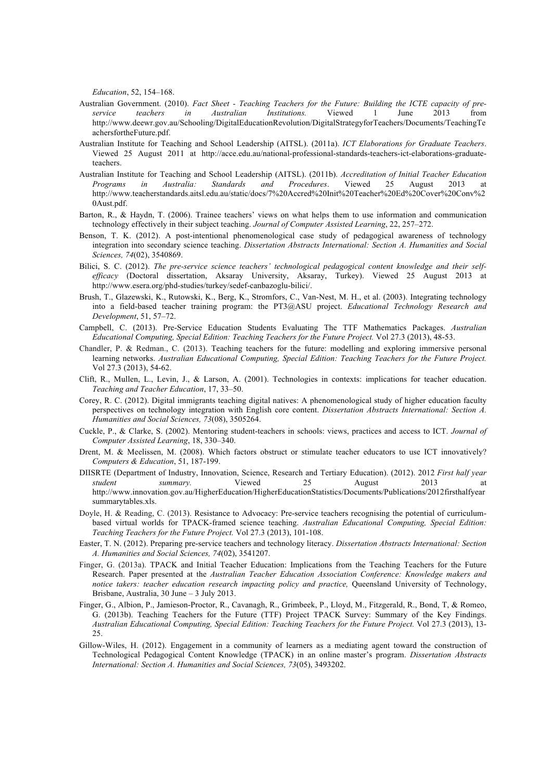*Education*, 52, 154–168.

- Australian Government. (2010). *Fact Sheet - Teaching Teachers for the Future: Building the ICTE capacity of preservice teachers in Australian Institutions.* Viewed 1 June 2013 from http://www.deewr.gov.au/Schooling/DigitalEducationRevolution/DigitalStrategyforTeachers/Documents/TeachingTe achersfortheFuture.pdf.
- Australian Institute for Teaching and School Leadership (AITSL). (2011a). *ICT Elaborations for Graduate Teachers*. Viewed 25 August 2011 at http://acce.edu.au/national-professional-standards-teachers-ict-elaborations-graduateteachers.
- Australian Institute for Teaching and School Leadership (AITSL). (2011b). *Accreditation of Initial Teacher Education Programs in Australia: Standards and Procedures.* Viewed 25 August 2013 http://www.teacherstandards.aitsl.edu.au/static/docs/7%20Accred%20Init%20Teacher%20Ed%20Cover%20Conv%2 0Aust.pdf.
- Barton, R., & Haydn, T. (2006). Trainee teachers' views on what helps them to use information and communication technology effectively in their subject teaching. *Journal of Computer Assisted Learning*, 22, 257–272.
- Benson, T. K. (2012). A post-intentional phenomenological case study of pedagogical awareness of technology integration into secondary science teaching. *Dissertation Abstracts International: Section A. Humanities and Social Sciences, 74*(02), 3540869.
- Bilici, S. C. (2012). *The pre-service science teachers' technological pedagogical content knowledge and their selfefficacy* (Doctoral dissertation, Aksaray University, Aksaray, Turkey). Viewed 25 August 2013 at http://www.esera.org/phd-studies/turkey/sedef-canbazoglu-bilici/.
- Brush, T., Glazewski, K., Rutowski, K., Berg, K., Stromfors, C., Van-Nest, M. H., et al. (2003). Integrating technology into a field-based teacher training program: the PT3@ASU project. *Educational Technology Research and Development*, 51, 57–72.
- Campbell, C. (2013). Pre-Service Education Students Evaluating The TTF Mathematics Packages. *Australian Educational Computing, Special Edition: Teaching Teachers for the Future Project.* Vol 27.3 (2013), 48-53.
- Chandler, P. & Redman., C. (2013). Teaching teachers for the future: modelling and exploring immersive personal learning networks. *Australian Educational Computing, Special Edition: Teaching Teachers for the Future Project.* Vol 27.3 (2013), 54-62.
- Clift, R., Mullen, L., Levin, J., & Larson, A. (2001). Technologies in contexts: implications for teacher education. *Teaching and Teacher Education*, 17, 33–50.
- Corey, R. C. (2012). Digital immigrants teaching digital natives: A phenomenological study of higher education faculty perspectives on technology integration with English core content. *Dissertation Abstracts International: Section A. Humanities and Social Sciences, 73*(08), 3505264.
- Cuckle, P., & Clarke, S. (2002). Mentoring student-teachers in schools: views, practices and access to ICT. *Journal of Computer Assisted Learning*, 18, 330–340.
- Drent, M. & Meelissen, M. (2008). Which factors obstruct or stimulate teacher educators to use ICT innovatively? *Computers & Education*, 51, 187-199.
- DIISRTE (Department of Industry, Innovation, Science, Research and Tertiary Education). (2012). 2012 *First half year student summary.* Viewed 25 August 2013 at http://www.innovation.gov.au/HigherEducation/HigherEducationStatistics/Documents/Publications/2012firsthalfyear summarytables.xls.
- Doyle, H. & Reading, C. (2013). Resistance to Advocacy: Pre-service teachers recognising the potential of curriculumbased virtual worlds for TPACK-framed science teaching. *Australian Educational Computing, Special Edition: Teaching Teachers for the Future Project.* Vol 27.3 (2013), 101-108.
- Easter, T. N. (2012). Preparing pre-service teachers and technology literacy. *Dissertation Abstracts International: Section A. Humanities and Social Sciences, 74*(02), 3541207.
- Finger, G. (2013a). TPACK and Initial Teacher Education: Implications from the Teaching Teachers for the Future Research. Paper presented at the *Australian Teacher Education Association Conference: Knowledge makers and*  notice takers: teacher education research impacting policy and practice, Queensland University of Technology, Brisbane, Australia, 30 June – 3 July 2013.
- Finger, G., Albion, P., Jamieson-Proctor, R., Cavanagh, R., Grimbeek, P., Lloyd, M., Fitzgerald, R., Bond, T, & Romeo, G. (2013b). Teaching Teachers for the Future (TTF) Project TPACK Survey: Summary of the Key Findings. *Australian Educational Computing, Special Edition: Teaching Teachers for the Future Project.* Vol 27.3 (2013), 13- 25.
- Gillow-Wiles, H. (2012). Engagement in a community of learners as a mediating agent toward the construction of Technological Pedagogical Content Knowledge (TPACK) in an online master's program. *Dissertation Abstracts International: Section A. Humanities and Social Sciences, 73*(05), 3493202.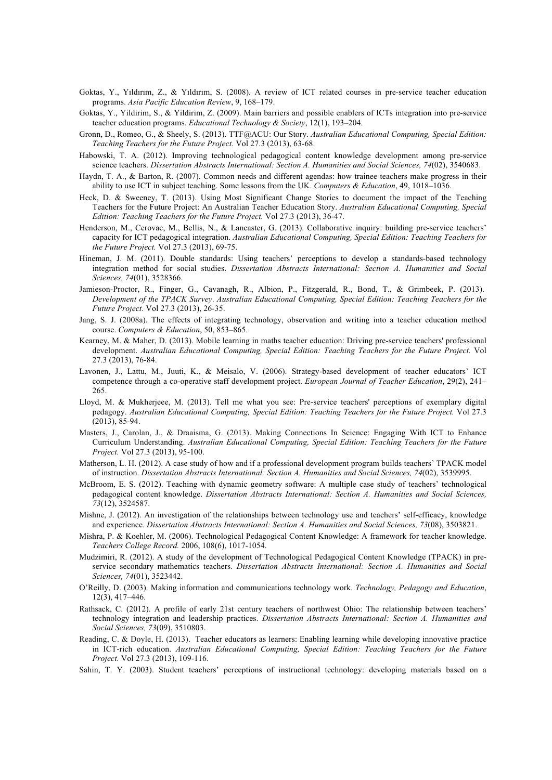- Goktas, Y., Yıldırım, Z., & Yıldırım, S. (2008). A review of ICT related courses in pre-service teacher education programs. *Asia Pacific Education Review*, 9, 168–179.
- Goktas, Y., Yildirim, S., & Yildirim, Z. (2009). Main barriers and possible enablers of ICTs integration into pre-service teacher education programs. *Educational Technology & Society*, 12(1), 193–204.
- Gronn, D., Romeo, G., & Sheely, S. (2013). TTF@ACU: Our Story. *Australian Educational Computing, Special Edition: Teaching Teachers for the Future Project.* Vol 27.3 (2013), 63-68.
- Habowski, T. A. (2012). Improving technological pedagogical content knowledge development among pre-service science teachers. *Dissertation Abstracts International: Section A. Humanities and Social Sciences, 74*(02), 3540683.
- Haydn, T. A., & Barton, R. (2007). Common needs and different agendas: how trainee teachers make progress in their ability to use ICT in subject teaching. Some lessons from the UK. *Computers & Education*, 49, 1018–1036.
- Heck, D. & Sweeney, T. (2013). Using Most Significant Change Stories to document the impact of the Teaching Teachers for the Future Project: An Australian Teacher Education Story. *Australian Educational Computing, Special Edition: Teaching Teachers for the Future Project.* Vol 27.3 (2013), 36-47.
- Henderson, M., Cerovac, M., Bellis, N., & Lancaster, G. (2013). Collaborative inquiry: building pre-service teachers' capacity for ICT pedagogical integration. *Australian Educational Computing, Special Edition: Teaching Teachers for the Future Project.* Vol 27.3 (2013), 69-75.
- Hineman, J. M. (2011). Double standards: Using teachers' perceptions to develop a standards-based technology integration method for social studies. *Dissertation Abstracts International: Section A. Humanities and Social Sciences, 74*(01), 3528366.
- Jamieson-Proctor, R., Finger, G., Cavanagh, R., Albion, P., Fitzgerald, R., Bond, T., & Grimbeek, P. (2013). *Development of the TPACK Survey*. *Australian Educational Computing, Special Edition: Teaching Teachers for the Future Project.* Vol 27.3 (2013), 26-35.
- Jang, S. J. (2008a). The effects of integrating technology, observation and writing into a teacher education method course. *Computers & Education*, 50, 853–865.
- Kearney, M. & Maher, D. (2013). Mobile learning in maths teacher education: Driving pre-service teachers' professional development. *Australian Educational Computing, Special Edition: Teaching Teachers for the Future Project.* Vol 27.3 (2013), 76-84.
- Lavonen, J., Lattu, M., Juuti, K., & Meisalo, V. (2006). Strategy-based development of teacher educators' ICT competence through a co-operative staff development project. *European Journal of Teacher Education*, 29(2), 241– 265.
- Lloyd, M. & Mukherjeee, M. (2013). Tell me what you see: Pre-service teachers' perceptions of exemplary digital pedagogy. *Australian Educational Computing, Special Edition: Teaching Teachers for the Future Project.* Vol 27.3 (2013), 85-94.
- Masters, J., Carolan, J., & Draaisma, G. (2013). Making Connections In Science: Engaging With ICT to Enhance Curriculum Understanding. *Australian Educational Computing, Special Edition: Teaching Teachers for the Future Project.* Vol 27.3 (2013), 95-100.
- Matherson, L. H. (2012). A case study of how and if a professional development program builds teachers' TPACK model of instruction. *Dissertation Abstracts International: Section A. Humanities and Social Sciences, 74*(02), 3539995.
- McBroom, E. S. (2012). Teaching with dynamic geometry software: A multiple case study of teachers' technological pedagogical content knowledge. *Dissertation Abstracts International: Section A. Humanities and Social Sciences, 73*(12), 3524587.
- Mishne, J. (2012). An investigation of the relationships between technology use and teachers' self-efficacy, knowledge and experience. *Dissertation Abstracts International: Section A. Humanities and Social Sciences, 73*(08), 3503821.
- Mishra, P. & Koehler, M. (2006). Technological Pedagogical Content Knowledge: A framework for teacher knowledge. *Teachers College Record.* 2006, 108(6), 1017-1054.
- Mudzimiri, R. (2012). A study of the development of Technological Pedagogical Content Knowledge (TPACK) in preservice secondary mathematics teachers. *Dissertation Abstracts International: Section A. Humanities and Social Sciences, 74*(01), 3523442.
- O'Reilly, D. (2003). Making information and communications technology work. *Technology, Pedagogy and Education*, 12(3), 417–446.
- Rathsack, C. (2012). A profile of early 21st century teachers of northwest Ohio: The relationship between teachers' technology integration and leadership practices. *Dissertation Abstracts International: Section A. Humanities and Social Sciences, 73*(09), 3510803.
- Reading, C. & Doyle, H. (2013). Teacher educators as learners: Enabling learning while developing innovative practice in ICT-rich education. *Australian Educational Computing, Special Edition: Teaching Teachers for the Future Project.* Vol 27.3 (2013), 109-116.
- Sahin, T. Y. (2003). Student teachers' perceptions of instructional technology: developing materials based on a